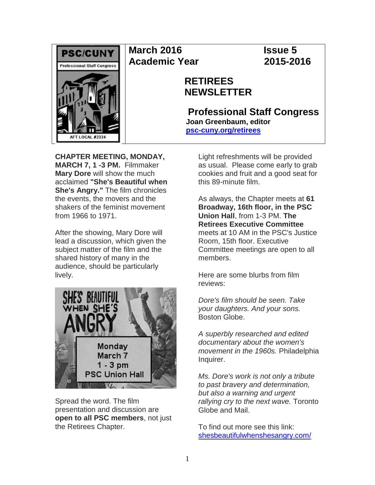

# **March 2016 Issue 5 Academic Year 2015-2016**

# **RETIREES NEWSLETTER**

**Professional Staff Congress Joan Greenbaum, editor [psc-cuny.org/retirees](http://www.psc-cuny.org/retirees)**

**CHAPTER MEETING, MONDAY, MARCH 7, 1 -3 PM.** Filmmaker **Mary Dore** will show the much acclaimed **"She's Beautiful when She's Angry."** The film chronicles the events, the movers and the shakers of the feminist movement from 1966 to 1971.

After the showing, Mary Dore will lead a discussion, which given the subject matter of the film and the shared history of many in the audience, should be particularly lively.



Spread the word. The film presentation and discussion are **open to all PSC members**, not just the Retirees Chapter.

Light refreshments will be provided as usual. Please come early to grab cookies and fruit and a good seat for this 89-minute film.

As always, the Chapter meets at **61 Broadway, 16th floor, in the PSC Union Hall**, from 1-3 PM. **The Retirees Executive Committee**  meets at 10 AM in the PSC's Justice Room, 15th floor. Executive Committee meetings are open to all members.

Here are some blurbs from film reviews:

*Dore's film should be seen. Take your daughters. And your sons.* Boston Globe.

*A superbly researched and edited documentary about the women's movement in the 1960s.* Philadelphia Inquirer.

*Ms. Dore's work is not only a tribute to past bravery and determination, but also a warning and urgent rallying cry to the next wave.* Toronto Globe and Mail.

To find out more see this link: [shesbeautifulwhenshesangry.com/](http://www.shesbeautifulwhenshesangry.com/)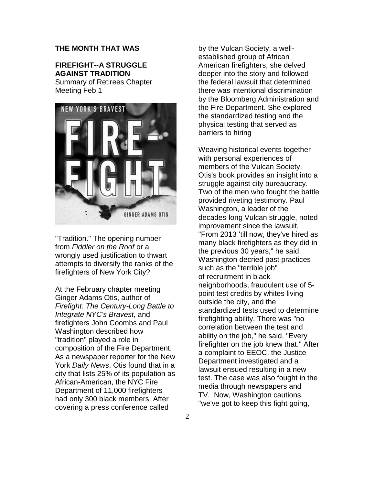# **THE MONTH THAT WAS**

# **FIREFIGHT--A STRUGGLE AGAINST TRADITION**

Summary of Retirees Chapter Meeting Feb 1



"Tradition." The opening number from *Fiddler on the Roof* or a wrongly used justification to thwart attempts to diversify the ranks of the firefighters of New York City?

At the February chapter meeting Ginger Adams Otis, author of *Firefight: The Century-Long Battle to Integrate NYC's Bravest,* and firefighters John Coombs and Paul Washington described how "tradition" played a role in composition of the Fire Department. As a newspaper reporter for the New York *Daily News*, Otis found that in a city that lists 25% of its population as African-American, the NYC Fire Department of 11,000 firefighters had only 300 black members. After covering a press conference called

by the Vulcan Society, a wellestablished group of African American firefighters, she delved deeper into the story and followed the federal lawsuit that determined there was intentional discrimination by the Bloomberg Administration and the Fire Department. She explored the standardized testing and the physical testing that served as barriers to hiring

Weaving historical events together with personal experiences of members of the Vulcan Society, Otis's book provides an insight into a struggle against city bureaucracy. Two of the men who fought the battle provided riveting testimony. Paul Washington, a leader of the decades-long Vulcan struggle, noted improvement since the lawsuit. "From 2013 'till now, they've hired as many black firefighters as they did in the previous 30 years," he said. Washington decried past practices such as the "terrible job" of recruitment in black neighborhoods, fraudulent use of 5 point test credits by whites living outside the city, and the standardized tests used to determine firefighting ability. There was "no correlation between the test and ability on the job," he said. "Every firefighter on the job knew that." After a complaint to EEOC, the Justice Department investigated and a lawsuit ensued resulting in a new test. The case was also fought in the media through newspapers and TV. Now, Washington cautions, "we've got to keep this fight going,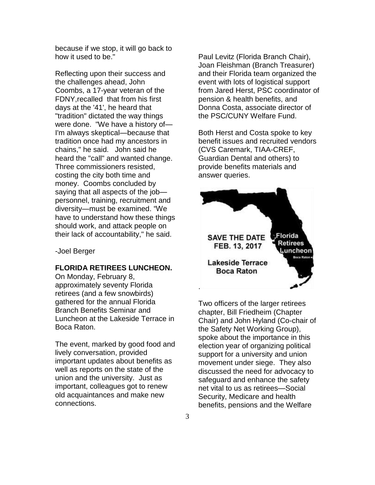because if we stop, it will go back to how it used to be."

Reflecting upon their success and the challenges ahead, John Coombs, a 17-year veteran of the FDNY,recalled that from his first days at the '41', he heard that "tradition" dictated the way things were done. "We have a history of— I'm always skeptical—because that tradition once had my ancestors in chains," he said. John said he heard the "call" and wanted change. Three commissioners resisted, costing the city both time and money. Coombs concluded by saying that all aspects of the job personnel, training, recruitment and diversity—must be examined. "We have to understand how these things should work, and attack people on their lack of accountability," he said.

-Joel Berger

## **FLORIDA RETIREES LUNCHEON.**

On Monday, February 8, approximately seventy Florida retirees (and a few snowbirds) gathered for the annual Florida Branch Benefits Seminar and Luncheon at the Lakeside Terrace in Boca Raton.

The event, marked by good food and lively conversation, provided important updates about benefits as well as reports on the state of the union and the university. Just as important, colleagues got to renew old acquaintances and make new connections.

Paul Levitz (Florida Branch Chair), Joan Fleishman (Branch Treasurer) and their Florida team organized the event with lots of logistical support from Jared Herst, PSC coordinator of pension & health benefits, and Donna Costa, associate director of the PSC/CUNY Welfare Fund.

Both Herst and Costa spoke to key benefit issues and recruited vendors (CVS Caremark, TIAA-CREF, Guardian Dental and others) to provide benefits materials and answer queries.



Two officers of the larger retirees chapter, Bill Friedheim (Chapter Chair) and John Hyland (Co-chair of the Safety Net Working Group), spoke about the importance in this election year of organizing political support for a university and union movement under siege. They also discussed the need for advocacy to safeguard and enhance the safety net vital to us as retirees—Social Security, Medicare and health benefits, pensions and the Welfare